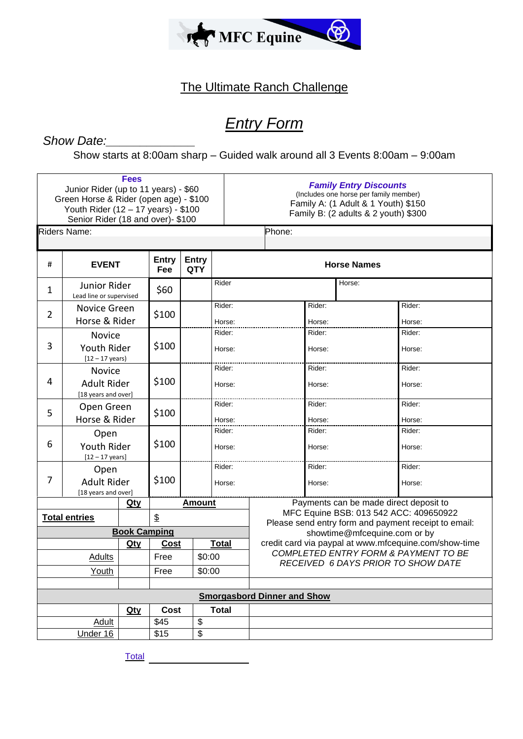

## The Ultimate Ranch Challenge

# *Entry Form*

## Show Date:

Show starts at 8:00am sharp – Guided walk around all 3 Events 8:00am – 9:00am

|                                    | Junior Rider (up to 11 years) - \$60<br>Green Horse & Rider (open age) - \$100<br>Youth Rider (12 - 17 years) - \$100<br>Senior Rider (18 and over)- \$100 | <b>Fees</b>                  |                     |                            |                    | <b>Family Entry Discounts</b><br>(Includes one horse per family member)<br>Family A: (1 Adult & 1 Youth) \$150<br>Family B: (2 adults & 2 youth) \$300 |                                                                                                |        |                  |  |  |
|------------------------------------|------------------------------------------------------------------------------------------------------------------------------------------------------------|------------------------------|---------------------|----------------------------|--------------------|--------------------------------------------------------------------------------------------------------------------------------------------------------|------------------------------------------------------------------------------------------------|--------|------------------|--|--|
|                                    | <b>Riders Name:</b>                                                                                                                                        |                              |                     |                            |                    | Phone:                                                                                                                                                 |                                                                                                |        |                  |  |  |
| #                                  | <b>EVENT</b>                                                                                                                                               |                              | <b>Entry</b><br>Fee | <b>Entry</b><br><b>QTY</b> | <b>Horse Names</b> |                                                                                                                                                        |                                                                                                |        |                  |  |  |
| 1                                  | Junior Rider<br>Lead line or supervised                                                                                                                    |                              | \$60                |                            | Rider              |                                                                                                                                                        |                                                                                                | Horse: |                  |  |  |
| $\overline{2}$                     | Novice Green<br>Horse & Rider                                                                                                                              |                              | \$100               |                            | Rider:<br>Horse:   |                                                                                                                                                        | Rider:<br>Horse:                                                                               |        | Rider:<br>Horse: |  |  |
| 3                                  | Novice<br>Youth Rider<br>$[12 - 17$ years)                                                                                                                 |                              | \$100               |                            | Rider:<br>Horse:   |                                                                                                                                                        | Rider:<br>Horse:                                                                               |        | Rider:<br>Horse: |  |  |
| 4                                  | Novice<br><b>Adult Rider</b><br>[18 years and over]                                                                                                        |                              | \$100               |                            | Rider:<br>Horse:   |                                                                                                                                                        | Rider:<br>Horse:                                                                               |        | Rider:<br>Horse: |  |  |
| 5                                  | Open Green<br>Horse & Rider                                                                                                                                |                              | \$100               |                            | Rider:<br>Horse:   |                                                                                                                                                        | Rider:<br>Horse:                                                                               |        | Rider:<br>Horse: |  |  |
| 6                                  | Open<br>Youth Rider<br>$[12 - 17$ years]                                                                                                                   |                              | \$100               |                            | Rider:<br>Horse:   |                                                                                                                                                        | Rider:<br>Horse:                                                                               |        | Rider:<br>Horse: |  |  |
| 7                                  | Open<br><b>Adult Rider</b><br>[18 years and over]                                                                                                          |                              | \$100               |                            | Rider:<br>Horse:   |                                                                                                                                                        | Rider:<br>Horse:                                                                               |        | Rider:<br>Horse: |  |  |
|                                    |                                                                                                                                                            | Qty                          |                     | <b>Amount</b>              |                    | Payments can be made direct deposit to                                                                                                                 |                                                                                                |        |                  |  |  |
|                                    | <b>Total entries</b>                                                                                                                                       |                              | $\frac{6}{2}$       |                            |                    |                                                                                                                                                        | MFC Equine BSB: 013 542 ACC: 409650922<br>Please send entry form and payment receipt to email: |        |                  |  |  |
|                                    | <b>Book Camping</b>                                                                                                                                        | showtime@mfcequine.com or by |                     |                            |                    |                                                                                                                                                        |                                                                                                |        |                  |  |  |
|                                    |                                                                                                                                                            | <u>Qty</u>                   | <u>Cost</u>         |                            | <b>Total</b>       | credit card via paypal at www.mfcequine.com/show-time<br>COMPLETED ENTRY FORM & PAYMENT TO BE                                                          |                                                                                                |        |                  |  |  |
| <b>Adults</b>                      |                                                                                                                                                            |                              | \$0:00<br>Free      |                            |                    | RECEIVED 6 DAYS PRIOR TO SHOW DATE                                                                                                                     |                                                                                                |        |                  |  |  |
| Youth                              |                                                                                                                                                            |                              | \$0:00<br>Free      |                            |                    |                                                                                                                                                        |                                                                                                |        |                  |  |  |
| <b>Smorgasbord Dinner and Show</b> |                                                                                                                                                            |                              |                     |                            |                    |                                                                                                                                                        |                                                                                                |        |                  |  |  |
| Qty                                |                                                                                                                                                            |                              | Cost                |                            | <b>Total</b>       |                                                                                                                                                        |                                                                                                |        |                  |  |  |
| <b>Adult</b>                       |                                                                                                                                                            |                              | \$45                | \$                         |                    |                                                                                                                                                        |                                                                                                |        |                  |  |  |
|                                    | Under 16                                                                                                                                                   |                              | \$15                | \$                         |                    |                                                                                                                                                        |                                                                                                |        |                  |  |  |

Total **The Community of The Community Community**